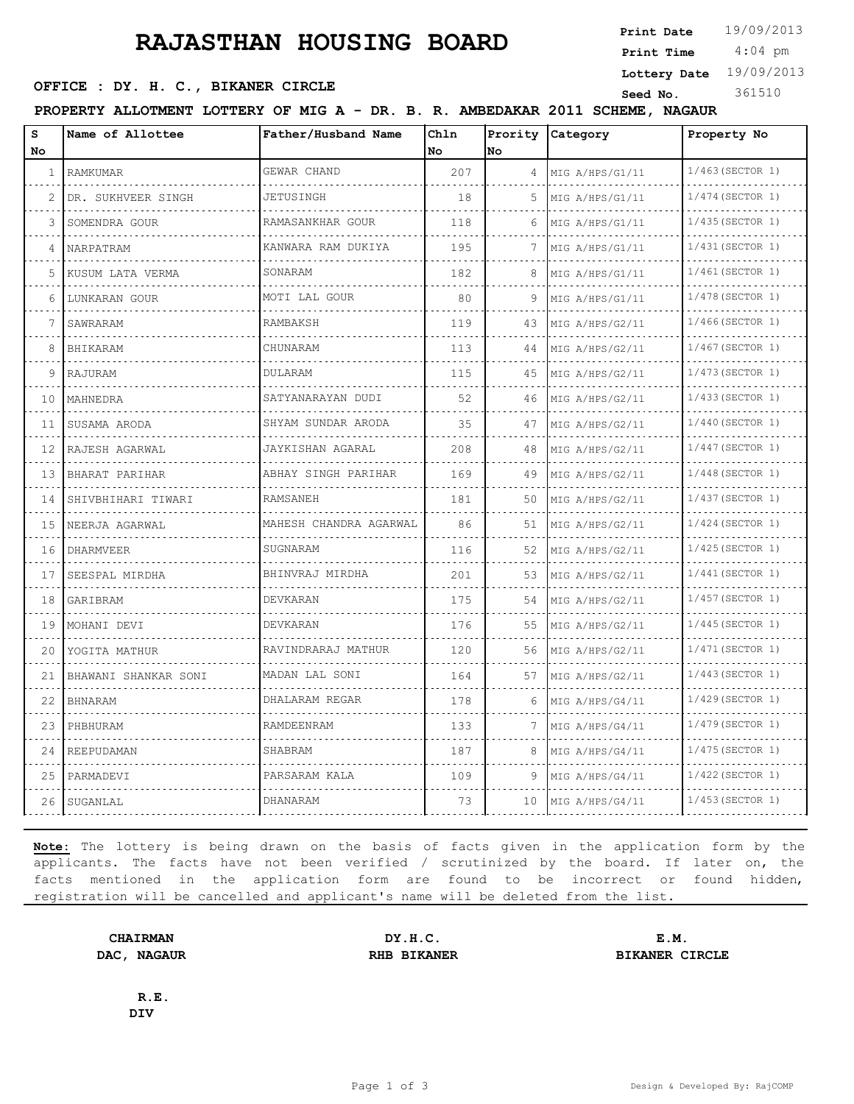# **RAJASTHAN HOUSING BOARD**

**Print Date**  $19/09/2013$ 

 4:04 pm **Print Time**

**Lottery Date** 19/09/2013

### **SEED OFFICE : DY. H. C., BIKANER CIRCLE Seed No.** 361510

**PROPERTY ALLOTMENT LOTTERY OF MIG A - DR. B. R. AMBEDAKAR 2011 SCHEME, NAGAUR**

| s<br>No | Name of Allottee        | Father/Husband Name     | Chln<br>No | Prority<br>No | Category             | Property No             |
|---------|-------------------------|-------------------------|------------|---------------|----------------------|-------------------------|
| 1       | RAMKUMAR                | GEWAR CHAND             | 207        | 4             | MIG A/HPS/G1/11      | 1/463(SECTOR 1)         |
| 2       | DR. SUKHVEER SINGH      | JETUSINGH               | 18         | 5             | MIG A/HPS/G1/11      | $1/474$ (SECTOR 1)      |
| 3       | SOMENDRA GOUR           | RAMASANKHAR GOUR        | 118        | 6             | .<br>MIG A/HPS/G1/11 | 1/435 (SECTOR 1)        |
| 4       | NARPATRAM               | KANWARA RAM DUKIYA      | 195        | 7             | MIG A/HPS/G1/11      | 1/431 (SECTOR 1)        |
| 5       | KUSUM LATA VERMA        | SONARAM                 | 182        | 8             | MIG A/HPS/G1/11      | 1/461 (SECTOR 1)        |
| 6       | LUNKARAN GOUR           | MOTI LAL GOUR           | 80         | 9             | .<br>MIG A/HPS/G1/11 | 1/478 (SECTOR 1)        |
| 7       | SAWRARAM                | <b>RAMBAKSH</b>         | 119        | 43            | MIG A/HPS/G2/11      | 1/466(SECTOR 1)         |
| 8       | BHIKARAM                | CHUNARAM                | 113        | 44            | MIG A/HPS/G2/11      | 1/467 (SECTOR 1)        |
| 9       | RAJURAM                 | DULARAM                 | 115        | 45            | .<br>MIG A/HPS/G2/11 | 1/473 (SECTOR 1)        |
| 10      | MAHNEDRA                | SATYANARAYAN DUDI       | 52         | 46            | MIG A/HPS/G2/11      | 1/433(SECTOR 1)         |
| 11      | SUSAMA ARODA            | .<br>SHYAM SUNDAR ARODA | 35         | 47            | .<br>MIG A/HPS/G2/11 | $1/440$ (SECTOR 1)      |
| 12      | RAJESH AGARWAL          | .<br>JAYKISHAN AGARAL   | 208        | 48            | .<br>MIG A/HPS/G2/11 | 1/447 (SECTOR 1)        |
| 13      | BHARAT PARIHAR          | ABHAY SINGH PARIHAR     | 169        | 49            | MIG A/HPS/G2/11      | $1/448$ (SECTOR 1)      |
| 14      | .<br>SHIVBHIHARI TIWARI | RAMSANEH                | 181        | 50            | .<br>MIG A/HPS/G2/11 | .<br>1/437 (SECTOR 1)   |
| 1.5     | .<br>NEERJA AGARWAL     | MAHESH CHANDRA AGARWAL  | 86         | 51            | .<br>MIG A/HPS/G2/11 | 1/424 (SECTOR 1)        |
| 16      | DHARMVEER               | SUGNARAM                | 116        | 52            | MIG A/HPS/G2/11      | 1/425(SECTOR 1)         |
| 17      | .<br>SEESPAL MIRDHA     | BHINVRAJ MIRDHA         | 201        | 53            | .<br>MIG A/HPS/G2/11 | .<br>$1/441$ (SECTOR 1) |
| 18      | GARIBRAM                | DEVKARAN                | 175        | 54            | .<br>MIG A/HPS/G2/11 | 1/457 (SECTOR 1)        |
| 19      | MOHANI DEVI             | DEVKARAN                | 176        | 55            | MIG A/HPS/G2/11      | 1/445 (SECTOR 1)        |
| 20      | .<br>YOGITA MATHUR      | RAVINDRARAJ MATHUR      | 120        | 56            | .<br>MIG A/HPS/G2/11 | 1/471 (SECTOR 1)        |
| 21      | BHAWANI SHANKAR SONI    | .<br>MADAN LAL SONI     | 164        | 57            | MIG A/HPS/G2/11      | $1/443$ (SECTOR 1)      |
| 22      | <b>BHNARAM</b>          | DHALARAM REGAR          | 178        | 6             | MIG A/HPS/G4/11      | 1/429 (SECTOR 1)        |
| 23      | PHBHURAM                | RAMDEENRAM              | 133        | 7             | .<br>MIG A/HPS/G4/11 | 1/479 (SECTOR 1)        |
| 24      | REEPUDAMAN              | SHABRAM                 | 187        | 8             | MIG A/HPS/G4/11      | 1/475(SECTOR 1)         |
| 25      | PARMADEVI               | PARSARAM KALA           | 109        | 9             | MIG A/HPS/G4/11      | 1/422 (SECTOR 1)        |
| 26      | SUGANLAL                | DHANARAM                | 73         | 10            | MIG A/HPS/G4/11      | $1/453$ (SECTOR 1)      |

**Note:** The lottery is being drawn on the basis of facts given in the application form by the applicants. The facts have not been verified / scrutinized by the board. If later on, the facts mentioned in the application form are found to be incorrect or found hidden, registration will be cancelled and applicant's name will be deleted from the list.

**CHAIRMAN DY.H.C. E.M. DAC, NAGAUR RHB BIKANER BIKANER BIKANER** CIRCLE

**R.E. DIV**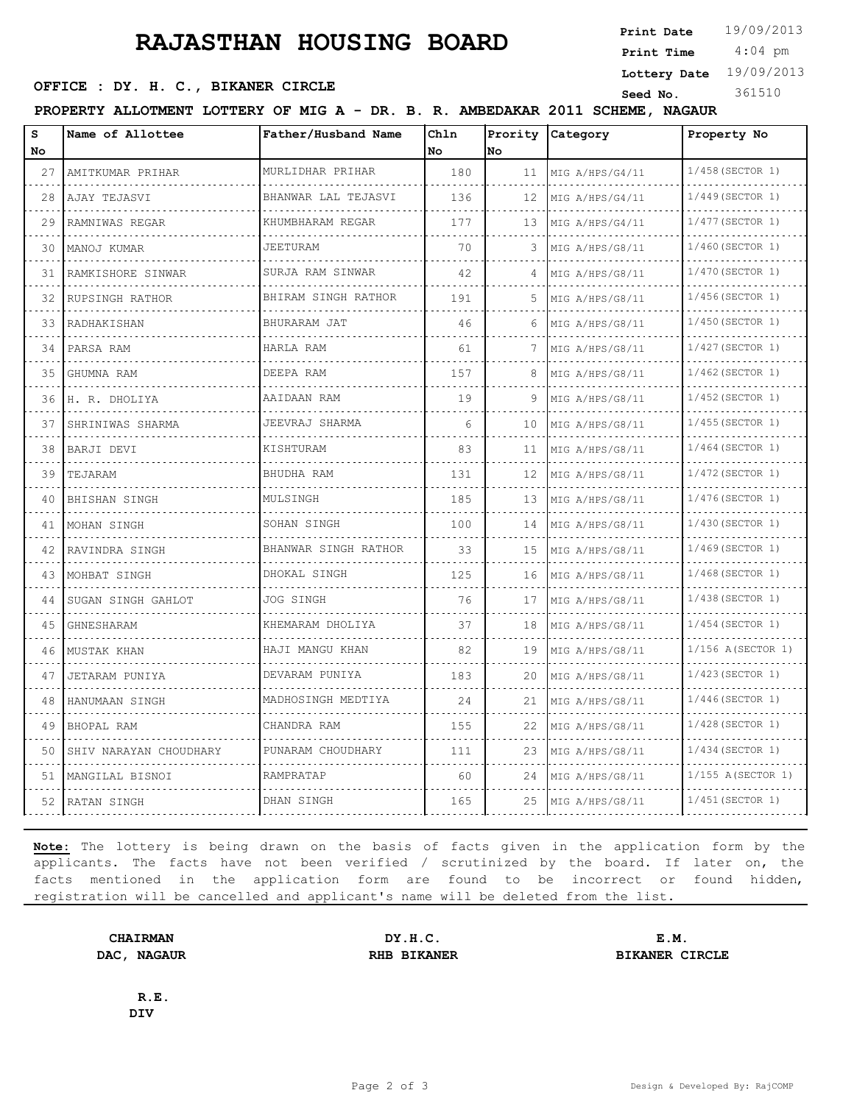# **RAJASTHAN HOUSING BOARD**

**Print Date**

 4:04 pm **Print Time**

**Lottery Date** 19/09/2013

## **SEED OFFICE : DY. H. C., BIKANER CIRCLE Seed No.** 361510

| AMBEDAKAR 2011 SCHEME,<br><b>NAGAUR</b><br>PROPERTY ALLOTMENT LOTTERY OF MIG A - DR. B. R. I |
|----------------------------------------------------------------------------------------------|
|----------------------------------------------------------------------------------------------|

| s<br>No | Name of Allottee       | Father/Husband Name      | Chln<br>No. | No. | Prority Category     | Property No             |
|---------|------------------------|--------------------------|-------------|-----|----------------------|-------------------------|
| 27      | AMITKUMAR PRIHAR       | MURLIDHAR PRIHAR         | 180         | 11  | MIG A/HPS/G4/11      | 1/458 (SECTOR 1)        |
| 28      | AJAY TEJASVI           | BHANWAR LAL TEJASVI      | 136         | 12  | MIG A/HPS/G4/11      | .<br>$1/449$ (SECTOR 1) |
| 29      | RAMNIWAS REGAR         | KHUMBHARAM REGAR<br>.    | 177         | 13  | MIG A/HPS/G4/11      | 1/477 (SECTOR 1)        |
| 30      | MANOJ KUMAR            | <b>JEETURAM</b><br>.     | 70          | 3   | MIG A/HPS/G8/11      | 1/460(SECTOR 1)         |
| 31      | RAMKISHORE SINWAR      | SURJA RAM SINWAR         | 42          | 4   | .<br>MIG A/HPS/G8/11 | 1/470 (SECTOR 1)        |
| 32      | RUPSINGH RATHOR        | BHIRAM SINGH RATHOR<br>. | 191         | .5  | MIG A/HPS/G8/11      | 1/456(SECTOR 1)         |
| 33      | RADHAKISHAN            | BHURARAM JAT<br>.        | 46          | 6   | MIG A/HPS/G8/11      | 1/450 (SECTOR 1)<br>.   |
| 34      | PARSA RAM              | HARLA RAM                | 61          |     | MIG A/HPS/G8/11      | 1/427 (SECTOR 1)        |
| 35      | GHUMNA RAM             | DEEPA RAM                | 157         | 8   | MIG A/HPS/G8/11<br>. | 1/462 (SECTOR 1)        |
| 36      | H. R. DHOLIYA          | AAIDAAN RAM              | 19          | 9   | MIG A/HPS/G8/11      | 1/452 (SECTOR 1)        |
| 37      | SHRINIWAS SHARMA       | JEEVRAJ SHARMA           | 6           | 10  | MIG A/HPS/G8/11<br>. | 1/455(SECTOR 1)         |
| 38      | BARJI DEVI<br>.        | KISHTURAM                | 83          | 11  | MIG A/HPS/G8/11      | $1/464$ (SECTOR 1)<br>. |
| 39      | TEJARAM                | BHUDHA RAM               | 131         | 12  | MIG A/HPS/G8/11      | 1/472 (SECTOR 1)        |
| 40      | BHISHAN SINGH          | MULSINGH                 | 185         | 13  | MIG A/HPS/G8/11<br>. | 1/476(SECTOR 1)         |
| 41      | MOHAN SINGH<br>.       | SOHAN SINGH<br>.         | 100         | 14  | MIG A/HPS/G8/11      | 1/430 (SECTOR 1)<br>.   |
| 42      | RAVINDRA SINGH         | BHANWAR SINGH RATHOR     | 33          | 15  | MIG A/HPS/G8/11      | 1/469 (SECTOR 1)        |
| 43      | MOHBAT SINGH           | DHOKAL SINGH             | 125         | 16  | MIG A/HPS/G8/11      | $1/468$ (SECTOR 1)      |
| 44      | SUGAN SINGH GAHLOT     | JOG SINGH                | 76          | 17  | MIG A/HPS/G8/11      | 1/438 (SECTOR 1)<br>.   |
| 45      | GHNESHARAM             | KHEMARAM DHOLIYA         | 37          | 18  | MIG A/HPS/G8/11      | $1/454$ (SECTOR 1)      |
| 46      | MUSTAK KHAN            | HAJI MANGU KHAN          | 82          | 19  | MIG A/HPS/G8/11      | 1/156 A(SECTOR 1)       |
| 47      | JETARAM PUNIYA         | DEVARAM PUNIYA<br>.      | 183         | 20  | MIG A/HPS/G8/11      | 1/423(SECTOR 1)         |
| 48      | HANUMAAN SINGH         | MADHOSINGH MEDTIYA       | 24          | 21  | MIG A/HPS/G8/11      | $1/446$ (SECTOR 1)      |
| 49      | BHOPAL RAM             | CHANDRA RAM              | 155         | 22  | MIG A/HPS/G8/11      | 1/428 (SECTOR 1)        |
| 50      | SHIV NARAYAN CHOUDHARY | PUNARAM CHOUDHARY        | 111         | 23  | MIG A/HPS/G8/11      | 1/434 (SECTOR 1)        |
| 51      | MANGILAL BISNOI        | RAMPRATAP                | 60          | 24  | MIG A/HPS/G8/11      | 1/155 A(SECTOR 1)       |
| 52      | RATAN SINGH            | DHAN SINGH               | 165         | 25  | MIG A/HPS/G8/11      | 1/451 (SECTOR 1)        |

**Note:** The lottery is being drawn on the basis of facts given in the application form by the applicants. The facts have not been verified / scrutinized by the board. If later on, the facts mentioned in the application form are found to be incorrect or found hidden, registration will be cancelled and applicant's name will be deleted from the list.

**CHAIRMAN DY.H.C. E.M. DAC, NAGAUR RHB BIKANER BIKANER BIKANER** CIRCLE

**R.E. DIV**